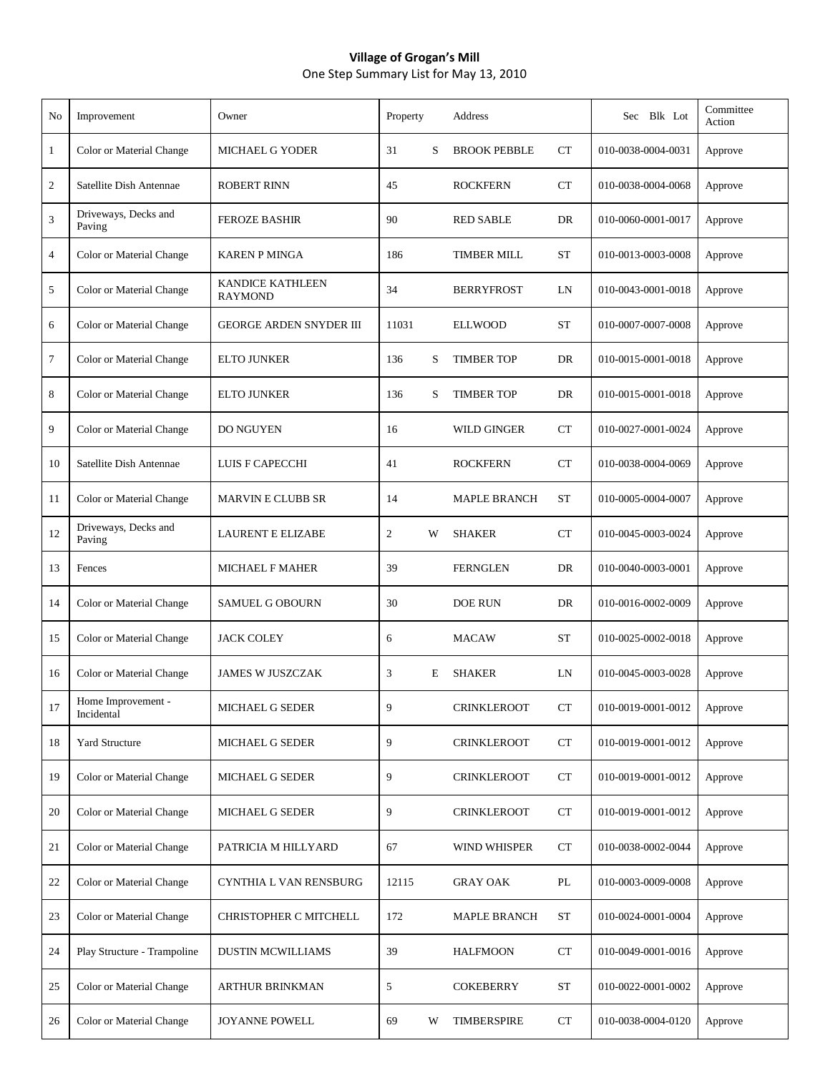## **Village of Grogan's Mill** One Step Summary List for May 13, 2010

| No             | Improvement                      | Owner                                     | Property       |   | Address             |           | Sec Blk Lot        | Committee<br>Action |
|----------------|----------------------------------|-------------------------------------------|----------------|---|---------------------|-----------|--------------------|---------------------|
| $\mathbf{1}$   | Color or Material Change         | <b>MICHAEL G YODER</b>                    | 31             | S | <b>BROOK PEBBLE</b> | CT        | 010-0038-0004-0031 | Approve             |
| 2              | Satellite Dish Antennae          | <b>ROBERT RINN</b>                        | 45             |   | <b>ROCKFERN</b>     | CT        | 010-0038-0004-0068 | Approve             |
| 3              | Driveways, Decks and<br>Paving   | <b>FEROZE BASHIR</b>                      | 90             |   | <b>RED SABLE</b>    | DR        | 010-0060-0001-0017 | Approve             |
| $\overline{4}$ | Color or Material Change         | <b>KAREN P MINGA</b>                      | 186            |   | <b>TIMBER MILL</b>  | <b>ST</b> | 010-0013-0003-0008 | Approve             |
| 5              | Color or Material Change         | <b>KANDICE KATHLEEN</b><br><b>RAYMOND</b> | 34             |   | <b>BERRYFROST</b>   | LN        | 010-0043-0001-0018 | Approve             |
| 6              | Color or Material Change         | <b>GEORGE ARDEN SNYDER III</b>            | 11031          |   | <b>ELLWOOD</b>      | <b>ST</b> | 010-0007-0007-0008 | Approve             |
| 7              | Color or Material Change         | <b>ELTO JUNKER</b>                        | 136            | S | <b>TIMBER TOP</b>   | DR        | 010-0015-0001-0018 | Approve             |
| 8              | Color or Material Change         | <b>ELTO JUNKER</b>                        | 136            | S | <b>TIMBER TOP</b>   | DR        | 010-0015-0001-0018 | Approve             |
| 9              | Color or Material Change         | DO NGUYEN                                 | 16             |   | WILD GINGER         | CT        | 010-0027-0001-0024 | Approve             |
| 10             | Satellite Dish Antennae          | LUIS F CAPECCHI                           | 41             |   | <b>ROCKFERN</b>     | <b>CT</b> | 010-0038-0004-0069 | Approve             |
| 11             | Color or Material Change         | <b>MARVIN E CLUBB SR</b>                  | 14             |   | <b>MAPLE BRANCH</b> | <b>ST</b> | 010-0005-0004-0007 | Approve             |
| 12             | Driveways, Decks and<br>Paving   | <b>LAURENT E ELIZABE</b>                  | $\overline{2}$ | W | <b>SHAKER</b>       | CT        | 010-0045-0003-0024 | Approve             |
| 13             | Fences                           | <b>MICHAEL F MAHER</b>                    | 39             |   | <b>FERNGLEN</b>     | DR        | 010-0040-0003-0001 | Approve             |
| 14             | Color or Material Change         | <b>SAMUEL G OBOURN</b>                    | 30             |   | DOE RUN             | DR        | 010-0016-0002-0009 | Approve             |
| 15             | Color or Material Change         | <b>JACK COLEY</b>                         | 6              |   | <b>MACAW</b>        | <b>ST</b> | 010-0025-0002-0018 | Approve             |
| 16             | Color or Material Change         | <b>JAMES W JUSZCZAK</b>                   | 3              | E | <b>SHAKER</b>       | LN        | 010-0045-0003-0028 | Approve             |
| 17             | Home Improvement -<br>Incidental | MICHAEL G SEDER                           |                |   | <b>CRINKLEROOT</b>  | <b>CT</b> | 010-0019-0001-0012 | Approve             |
| 18             | <b>Yard Structure</b>            | MICHAEL G SEDER                           | 9              |   | <b>CRINKLEROOT</b>  | CT        | 010-0019-0001-0012 | Approve             |
| 19             | Color or Material Change         | MICHAEL G SEDER                           | 9              |   | <b>CRINKLEROOT</b>  | CT        | 010-0019-0001-0012 | Approve             |
| 20             | Color or Material Change         | MICHAEL G SEDER                           | 9              |   | <b>CRINKLEROOT</b>  | CT        | 010-0019-0001-0012 | Approve             |
| 21             | Color or Material Change         | PATRICIA M HILLYARD                       | 67             |   | WIND WHISPER        | CT        | 010-0038-0002-0044 | Approve             |
| 22             | Color or Material Change         | CYNTHIA L VAN RENSBURG                    | 12115          |   | <b>GRAY OAK</b>     | PL        | 010-0003-0009-0008 | Approve             |
| 23             | Color or Material Change         | CHRISTOPHER C MITCHELL                    | 172            |   | <b>MAPLE BRANCH</b> | ST        | 010-0024-0001-0004 | Approve             |
| 24             | Play Structure - Trampoline      | <b>DUSTIN MCWILLIAMS</b>                  | 39             |   | <b>HALFMOON</b>     | CT        | 010-0049-0001-0016 | Approve             |
| 25             | Color or Material Change         | <b>ARTHUR BRINKMAN</b>                    | 5              |   | <b>COKEBERRY</b>    | <b>ST</b> | 010-0022-0001-0002 | Approve             |
| 26             | Color or Material Change         | JOYANNE POWELL                            | 69             | W | <b>TIMBERSPIRE</b>  | CT        | 010-0038-0004-0120 | Approve             |